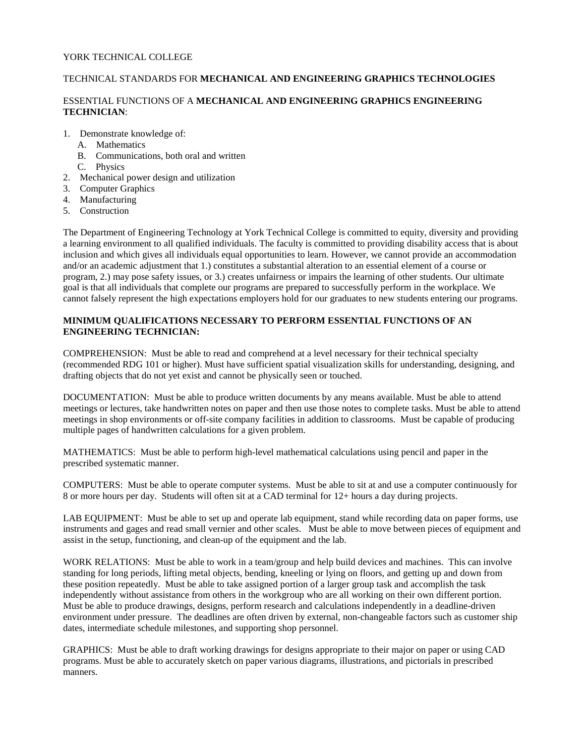## YORK TECHNICAL COLLEGE

## TECHNICAL STANDARDS FOR **MECHANICAL AND ENGINEERING GRAPHICS TECHNOLOGIES**

## ESSENTIAL FUNCTIONS OF A **MECHANICAL AND ENGINEERING GRAPHICS ENGINEERING TECHNICIAN**:

- 1. Demonstrate knowledge of:
	- A. Mathematics
	- B. Communications, both oral and written
		- C. Physics
- 2. Mechanical power design and utilization
- 3. Computer Graphics
- 4. Manufacturing
- 5. Construction

The Department of Engineering Technology at York Technical College is committed to equity, diversity and providing a learning environment to all qualified individuals. The faculty is committed to providing disability access that is about inclusion and which gives all individuals equal opportunities to learn. However, we cannot provide an accommodation and/or an academic adjustment that 1.) constitutes a substantial alteration to an essential element of a course or program, 2.) may pose safety issues, or 3.) creates unfairness or impairs the learning of other students. Our ultimate goal is that all individuals that complete our programs are prepared to successfully perform in the workplace. We cannot falsely represent the high expectations employers hold for our graduates to new students entering our programs.

## **MINIMUM QUALIFICATIONS NECESSARY TO PERFORM ESSENTIAL FUNCTIONS OF AN ENGINEERING TECHNICIAN:**

COMPREHENSION: Must be able to read and comprehend at a level necessary for their technical specialty (recommended RDG 101 or higher). Must have sufficient spatial visualization skills for understanding, designing, and drafting objects that do not yet exist and cannot be physically seen or touched.

DOCUMENTATION: Must be able to produce written documents by any means available. Must be able to attend meetings or lectures, take handwritten notes on paper and then use those notes to complete tasks. Must be able to attend meetings in shop environments or off-site company facilities in addition to classrooms. Must be capable of producing multiple pages of handwritten calculations for a given problem.

MATHEMATICS: Must be able to perform high-level mathematical calculations using pencil and paper in the prescribed systematic manner.

COMPUTERS: Must be able to operate computer systems. Must be able to sit at and use a computer continuously for 8 or more hours per day. Students will often sit at a CAD terminal for 12+ hours a day during projects.

LAB EQUIPMENT: Must be able to set up and operate lab equipment, stand while recording data on paper forms, use instruments and gages and read small vernier and other scales. Must be able to move between pieces of equipment and assist in the setup, functioning, and clean-up of the equipment and the lab.

WORK RELATIONS: Must be able to work in a team/group and help build devices and machines. This can involve standing for long periods, lifting metal objects, bending, kneeling or lying on floors, and getting up and down from these position repeatedly. Must be able to take assigned portion of a larger group task and accomplish the task independently without assistance from others in the workgroup who are all working on their own different portion. Must be able to produce drawings, designs, perform research and calculations independently in a deadline-driven environment under pressure. The deadlines are often driven by external, non-changeable factors such as customer ship dates, intermediate schedule milestones, and supporting shop personnel.

GRAPHICS: Must be able to draft working drawings for designs appropriate to their major on paper or using CAD programs. Must be able to accurately sketch on paper various diagrams, illustrations, and pictorials in prescribed manners.